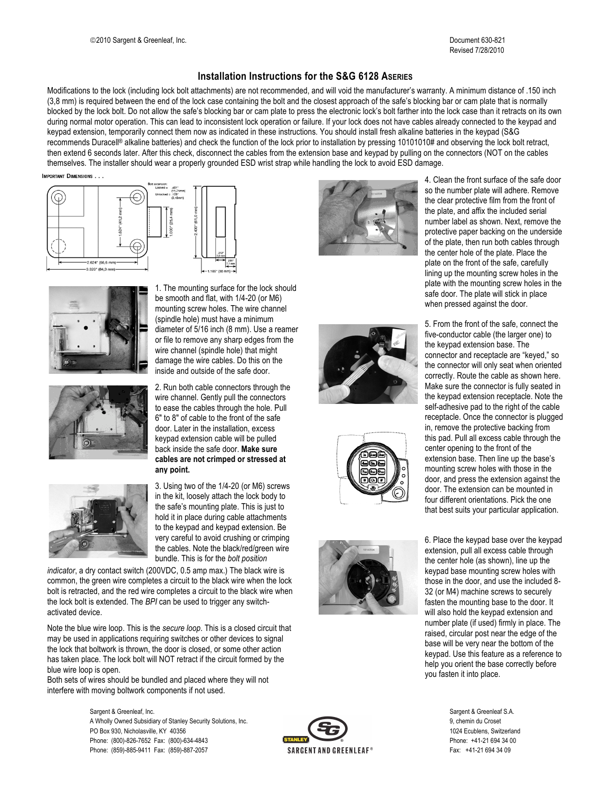## **Installation Instructions for the S&G 6128 ASERIES**

Modifications to the lock (including lock bolt attachments) are not recommended, and will void the manufacturer's warranty. A minimum distance of .150 inch (3,8 mm) is required between the end of the lock case containing the bolt and the closest approach of the safe's blocking bar or cam plate that is normally blocked by the lock bolt. Do not allow the safe's blocking bar or cam plate to press the electronic lock's bolt farther into the lock case than it retracts on its own during normal motor operation. This can lead to inconsistent lock operation or failure. If your lock does not have cables already connected to the keypad and keypad extension, temporarily connect them now as indicated in these instructions. You should install fresh alkaline batteries in the keypad (S&G recommends Duracell® alkaline batteries) and check the function of the lock prior to installation by pressing 10101010# and observing the lock bolt retract, then extend 6 seconds later. After this check, disconnect the cables from the extension base and keypad by pulling on the connectors (NOT on the cables themselves. The installer should wear a properly grounded ESD wrist strap while handling the lock to avoid ESD damage.

IMPORTANT DIMENSIONS









1. The mounting surface for the lock should be smooth and flat, with 1/4-20 (or M6) mounting screw holes. The wire channel (spindle hole) must have a minimum diameter of 5/16 inch (8 mm). Use a reamer or file to remove any sharp edges from the wire channel (spindle hole) that might damage the wire cables. Do this on the inside and outside of the safe door.

2. Run both cable connectors through the wire channel. Gently pull the connectors to ease the cables through the hole. Pull 6" to 8" of cable to the front of the safe door. Later in the installation, excess keypad extension cable will be pulled back inside the safe door. **Make sure cables are not crimped or stressed at any point.**

3. Using two of the 1/4-20 (or M6) screws in the kit, loosely attach the lock body to the safe's mounting plate. This is just to hold it in place during cable attachments to the keypad and keypad extension. Be very careful to avoid crushing or crimping the cables. Note the black/red/green wire bundle. This is for the *bolt position*

*indicator*, a dry contact switch (200VDC, 0.5 amp max.) The black wire is common, the green wire completes a circuit to the black wire when the lock bolt is retracted, and the red wire completes a circuit to the black wire when the lock bolt is extended. The *BPI* can be used to trigger any switchactivated device.

Note the blue wire loop. This is the *secure loop*. This is a closed circuit that may be used in applications requiring switches or other devices to signal the lock that boltwork is thrown, the door is closed, or some other action has taken place. The lock bolt will NOT retract if the circuit formed by the blue wire loop is open.

Both sets of wires should be bundled and placed where they will not interfere with moving boltwork components if not used.

> Sargent & Greenleaf, Inc. Sargent & Greenleaf S.A. A Wholly Owned Subsidiary of Stanley Security Solutions, Inc. 9, chemin du Croset PO Box 930, Nicholasville, KY 40356 1024 Ecublens, Switzerland Phone: (800)-826-7652 Fax: (800)-634-4843 **EXAMELY Phone: 441-21 694 34 00** Phone: (859)-885-9411 Fax: (859)-887-2057 Fax: +41-21 694 34 09







4. Clean the front surface of the safe door so the number plate will adhere. Remove the clear protective film from the front of the plate, and affix the included serial number label as shown. Next, remove the protective paper backing on the underside of the plate, then run both cables through the center hole of the plate. Place the plate on the front of the safe, carefully lining up the mounting screw holes in the plate with the mounting screw holes in the safe door. The plate will stick in place when pressed against the door.

5. From the front of the safe, connect the five-conductor cable (the larger one) to the keypad extension base. The connector and receptacle are "keyed," so the connector will only seat when oriented correctly. Route the cable as shown here. Make sure the connector is fully seated in the keypad extension receptacle. Note the self-adhesive pad to the right of the cable receptacle. Once the connector is plugged in, remove the protective backing from this pad. Pull all excess cable through the center opening to the front of the extension base. Then line up the base's mounting screw holes with those in the door, and press the extension against the door. The extension can be mounted in four different orientations. Pick the one that best suits your particular application.

6. Place the keypad base over the keypad extension, pull all excess cable through the center hole (as shown), line up the keypad base mounting screw holes with those in the door, and use the included 8- 32 (or M4) machine screws to securely fasten the mounting base to the door. It will also hold the keypad extension and number plate (if used) firmly in place. The raised, circular post near the edge of the base will be very near the bottom of the keypad. Use this feature as a reference to help you orient the base correctly before you fasten it into place.